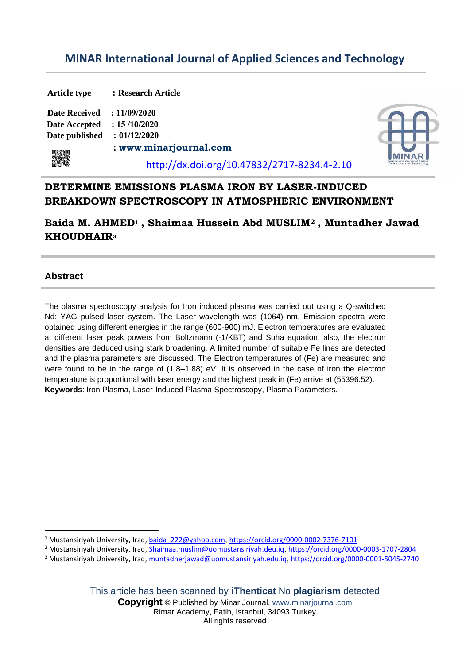# **MINAR International Journal of Applied Sciences and Technology**

| <b>Article type</b>  | : Research Article                          |  |
|----------------------|---------------------------------------------|--|
| <b>Date Received</b> | : 11/09/2020                                |  |
| Date Accepted        | : 15/10/2020                                |  |
| Date published       | : 01/12/2020                                |  |
| 骤爆                   | : www.minarjournal.com                      |  |
|                      | http://dx.doi.org/10.47832/2717-8234.4-2.10 |  |

## **DETERMINE EMISSIONS PLASMA IRON BY LASER-INDUCED BREAKDOWN SPECTROSCOPY IN ATMOSPHERIC ENVIRONMENT**

**Baida M. AHMED<sup>1</sup> , Shaimaa Hussein Abd MUSLIM<sup>2</sup> , Muntadher Jawad KHOUDHAIR<sup>3</sup>** 

### **Abstract**

The plasma spectroscopy analysis for Iron induced plasma was carried out using a Q-switched Nd: YAG pulsed laser system. The Laser wavelength was (1064) nm, Emission spectra were obtained using different energies in the range (600-900) mJ. Electron temperatures are evaluated at different laser peak powers from Boltzmann (-1/KBT) and Suha equation, also, the electron densities are deduced using stark broadening. A limited number of suitable Fe lines are detected and the plasma parameters are discussed. The Electron temperatures of (Fe) are measured and were found to be in the range of (1.8–1.88) eV. It is observed in the case of iron the electron temperature is proportional with laser energy and the highest peak in (Fe) arrive at (55396.52). **Keywords**: Iron Plasma, Laser-Induced Plasma Spectroscopy, Plasma Parameters.

This article has been scanned by **iThenticat** No **plagiarism** detected

**Copyright ©** Published by Minar Journal, www.minarjournal.com Rimar Academy, Fatih, Istanbul, 34093 Turkey All rights reserved

<sup>1</sup> Mustansiriyah University, Iraq, [baida\\_222@yahoo.com](mailto:baida_222@yahoo.com), https://orcid.org/0000-0002-7376-7101

<sup>2</sup> Mustansiriyah University, Iraq, Shaimaa.muslim@uomustansiriyah.deu.iq, https://orcid.org/0000-0003-1707-2804

<sup>&</sup>lt;sup>3</sup> Mustansiriyah University, Iraq, muntadherjawad@uomustansiriyah.edu.iq, https://orcid.org/0000-0001-5045-2740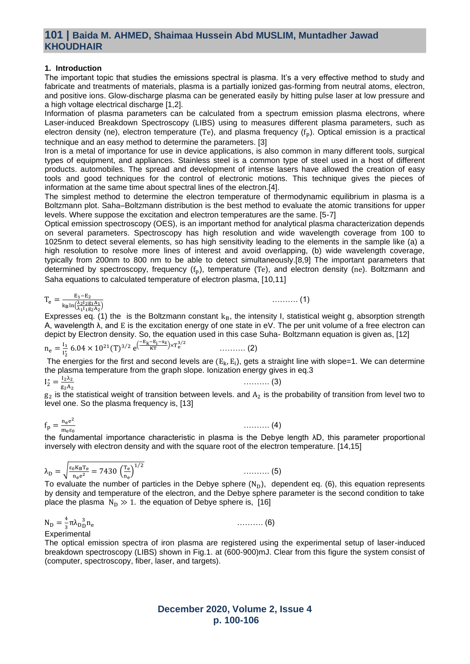### **101 | Baida M. AHMED, Shaimaa Hussein Abd MUSLIM, Muntadher Jawad KHOUDHAIR**

#### **1. Introduction**

The important topic that studies the emissions spectral is plasma. It's a very effective method to study and fabricate and treatments of materials, plasma is a partially ionized gas-forming from neutral atoms, electron, and positive ions. Glow-discharge plasma can be generated easily by hitting pulse laser at low pressure and a high voltage electrical discharge [1,2].

Information of plasma parameters can be calculated from a spectrum emission plasma electrons, where Laser-induced Breakdown Spectroscopy (LIBS) using to measures different plasma parameters, such as electron density (ne), electron temperature (Te), and plasma frequency  $(f_n)$ . Optical emission is a practical technique and an easy method to determine the parameters. [3]

Iron is a metal of importance for use in device applications, is also common in many different tools, surgical types of equipment, and appliances. Stainless steel is a common type of steel used in a host of different products. automobiles. The spread and development of intense lasers have allowed the creation of easy tools and good techniques for the control of electronic motions. This technique gives the pieces of information at the same time about spectral lines of the electron.[4].

The simplest method to determine the electron temperature of thermodynamic equilibrium in plasma is a Boltzmann plot. Saha–Boltzmann distribution is the best method to evaluate the atomic transitions for upper levels. Where suppose the excitation and electron temperatures are the same. [5-7]

Optical emission spectroscopy (OES), is an important method for analytical plasma characterization depends on several parameters. Spectroscopy has high resolution and wide wavelength coverage from 100 to 1025nm to detect several elements, so has high sensitivity leading to the elements in the sample like (a) a high resolution to resolve more lines of interest and avoid overlapping, (b) wide wavelength coverage, typically from 200nm to 800 nm to be able to detect simultaneously.[8,9] The important parameters that determined by spectroscopy, frequency  $(f_p)$ , temperature (Te), and electron density (ne). Boltzmann and Saha equations to calculated temperature of electron plasma, [10,11]

 $T_e = \frac{E_1 - E_2}{\ln \sqrt{\lambda_2 I_2 g}}$  $k_B$ ln $\left(\frac{\lambda_2 I_2 g_1 A_1}{\lambda_1 I_1 g_2 A_2}\right)$ 

Expresses eq. (1) the is the Boltzmann constant  $k_B$ , the intensity I, statistical weight g, absorption strength A, wavelength λ, and E is the excitation energy of one state in eV. The per unit volume of a free electron can depict by Electron density. So, the equation used in this case Suha- Boltzmann equation is given as, [12]

$$
n_e = \frac{I_1}{I_2^*} 6.04 \times 10^{21} (T)^{3/2} e^{\left(\frac{-E_K - E_1 - x_Z}{KT}\right) \times T_e^{3/2}}
$$
........(2)

The energies for the first and second levels are  $(E_k, E_i)$ , gets a straight line with slope=1. We can determine the plasma temperature from the graph slope. Ionization energy gives in eq.3

$$
I_2^* = \frac{I_2 \lambda_2}{g_2 A_2}
$$

………. (3)

………. (1)

 $g_2$  is the statistical weight of transition between levels. and  $A_2$  is the probability of transition from level two to level one. So the plasma frequency is, [13]

$$
f_p=\tfrac{n_e e^2}{m_e \epsilon_0}
$$

………. (4)

………. (5)

the fundamental importance characteristic in plasma is the Debye length λD, this parameter proportional inversely with electron density and with the square root of the electron temperature. [14,15]

$$
\lambda_D=\sqrt{\tfrac{\epsilon_0 K_B T_e}{n_e e^2}}=7430\,\left(\tfrac{T_e}{n_e}\right)^{1/2}
$$

To evaluate the number of particles in the Debye sphere  $(N_D)$ , dependent eq. (6), this equation represents by density and temperature of the electron, and the Debye sphere parameter is the second condition to take place the plasma  $N_D \gg 1$ . the equation of Debye sphere is, [16]

 $N_{D} = \frac{4}{3}$  $\frac{4}{3}$ πλ<sub>D</sub> $\frac{3}{2}$ n<sub>e</sub> ………. (6) **Experimental** 

The optical emission spectra of iron plasma are registered using the experimental setup of laser-induced breakdown spectroscopy (LIBS) shown in Fig.1. at (600-900)mJ. Clear from this figure the system consist of (computer, spectroscopy, fiber, laser, and targets).

### **December 2020, Volume 2, Issue 4 p. 100-106**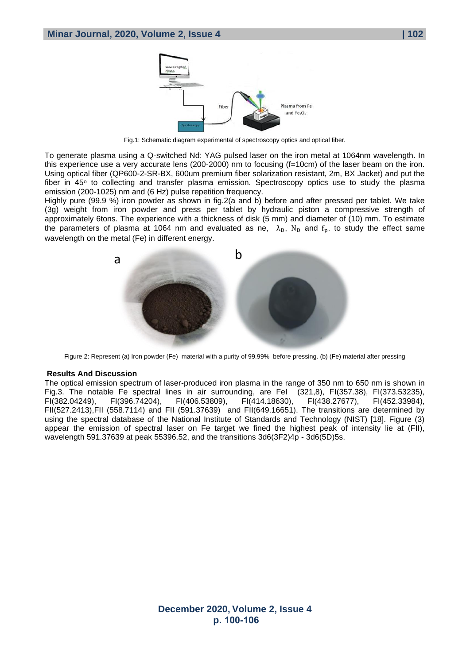

Fig.1: Schematic diagram experimental of spectroscopy optics and optical fiber.

To generate plasma using a Q-switched Nd: YAG pulsed laser on the iron metal at 1064nm wavelength. In this experience use a very accurate lens (200-2000) nm to focusing (f=10cm) of the laser beam on the iron. Using optical fiber (QP600-2-SR-BX, 600um premium fiber solarization resistant, 2m, BX Jacket) and put the fiber in  $45^\circ$  to collecting and transfer plasma emission. Spectroscopy optics use to study the plasma emission (200-1025) nm and (6 Hz) pulse repetition frequency.

Highly pure (99.9 %) iron powder as shown in fig.2(a and b) before and after pressed per tablet. We take (3g) weight from iron powder and press per tablet by hydraulic piston a compressive strength of approximately 6tons. The experience with a thickness of disk (5 mm) and diameter of (10) mm. To estimate the parameters of plasma at 1064 nm and evaluated as ne,  $\lambda_{\rm D}$ , N<sub>D</sub> and f<sub>p</sub>. to study the effect same wavelength on the metal (Fe) in different energy.



Figure 2: Represent (a) Iron powder (Fe) material with a purity of 99.99% before pressing. (b) (Fe) material after pressing

#### **Results And Discussion**

The optical emission spectrum of laser-produced iron plasma in the range of 350 nm to 650 nm is shown in Fig.3. The notable Fe spectral lines in air surrounding, are Fel (321,8), FI(357.38), FI(373.53235), FI(379.53235), FI(379.53235), FI(452.33984), FI(382.04249), FI(396.74204), FI(406.53809), FI(414.18630), FI(438.27677), FI(452.33984), FII(527.2413),FII (558.7114) and FII (591.37639) and FII(649.16651). The transitions are determined by using the spectral database of the National Institute of Standards and Technology (NIST) [18]. Figure (3) appear the emission of spectral laser on Fe target we fined the highest peak of intensity lie at (FII), wavelength 591.37639 at peak 55396.52, and the transitions 3d6(3F2)4p - 3d6(5D)5s.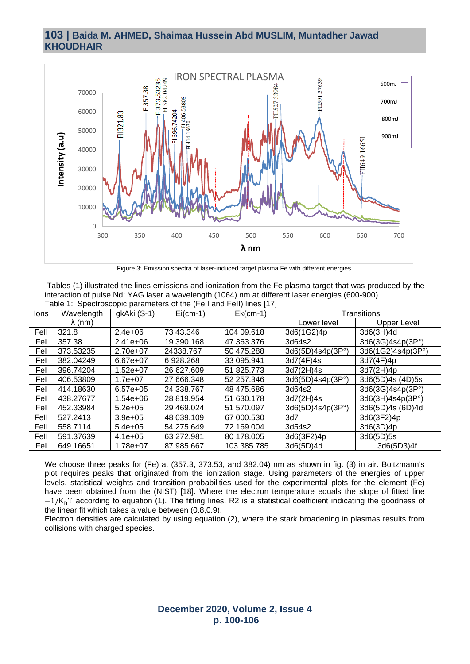### **103 | Baida M. AHMED, Shaimaa Hussein Abd MUSLIM, Muntadher Jawad KHOUDHAIR**



Figure 3: Emission spectra of laser-induced target plasma Fe with different energies.

Tables (1) illustrated the lines emissions and ionization from the Fe plasma target that was produced by the interaction of pulse Nd: YAG laser a wavelength (1064) nm at different laser energies (600-900). Table 1: Spectroscopic parameters of the (Fe I and FeII) lines [17]

| lons | Wavelength     | gkAki (S-1) | <b>Table 1. Opeditoscopic parameters of the tribular of the important</b><br>$Ei$ (cm-1) | $Ek(cm-1)$  | Transitions      |                   |
|------|----------------|-------------|------------------------------------------------------------------------------------------|-------------|------------------|-------------------|
|      | $\lambda$ (nm) |             |                                                                                          |             | Lower level      | Upper Level       |
| Fell | 321.8          | $2.4e+06$   | 73 43.346                                                                                | 104 09.618  | 3d6(1G2)4p       | 3d6(3H)4d         |
| Fel  | 357.38         | $2.41e+06$  | 19 390.168                                                                               | 47 363.376  | 3d64s2           | 3d6(3G)4s4p(3P°)  |
| Fel  | 373.53235      | 2.70e+07    | 24338.767                                                                                | 50 475.288  | 3d6(5D)4s4p(3P°) | 3d6(1G2)4s4p(3P°) |
| Fel  | 382.04249      | $6.67e+07$  | 6928.268                                                                                 | 33 095.941  | 3d7(4F)4s        | 3d7(4F)4p         |
| Fel  | 396.74204      | $1.52e+07$  | 26 627.609                                                                               | 51 825.773  | 3d7(2H)4s        | 3d7(2H)4p         |
| Fel  | 406.53809      | $1.7e+07$   | 27 666.348                                                                               | 52 257.346  | 3d6(5D)4s4p(3P°) | 3d6(5D)4s (4D)5s  |
| Fel  | 414.18630      | $6.57e+05$  | 24 338.767                                                                               | 48 475.686  | 3d64s2           | 3d6(3G)4s4p(3P°)  |
| Fel  | 438.27677      | 1.54e+06    | 28 819.954                                                                               | 51 630.178  | 3d7(2H)4s        | 3d6(3H)4s4p(3P°)  |
| Fel  | 452.33984      | $5.2e + 05$ | 29 469 024                                                                               | 51 570.097  | 3d6(5D)4s4p(3P°) | 3d6(5D)4s (6D)4d  |
| Fell | 527.2413       | $3.9e + 05$ | 48 039.109                                                                               | 67 000.530  | 3d7              | 3d6(3F2)4p        |
| Fell | 558.7114       | $5.4e+05$   | 54 275.649                                                                               | 72 169.004  | 3d54s2           | 3d6(3D)4p         |
| Fell | 591.37639      | $4.1e+05$   | 63 272.981                                                                               | 80 178,005  | 3d6(3F2)4p       | 3d6(5D)5s         |
| Fel  | 649.16651      | 1.78e+07    | 87 985.667                                                                               | 103 385.785 | 3d6(5D)4d        | 3d6(5D3)4f        |

We choose three peaks for (Fe) at (357.3, 373.53, and 382.04) nm as shown in fig. (3) in air. Boltzmann's plot requires peaks that originated from the ionization stage. Using parameters of the energies of upper levels, statistical weights and transition probabilities used for the experimental plots for the element (Fe) have been obtained from the (NIST) [18]. Where the electron temperature equals the slope of fitted line −1/K<sub>B</sub>T according to equation (1). The fitting lines. R2 is a statistical coefficient indicating the goodness of the linear fit which takes a value between (0.8,0.9).

Electron densities are calculated by using equation (2), where the stark broadening in plasmas results from collisions with charged species.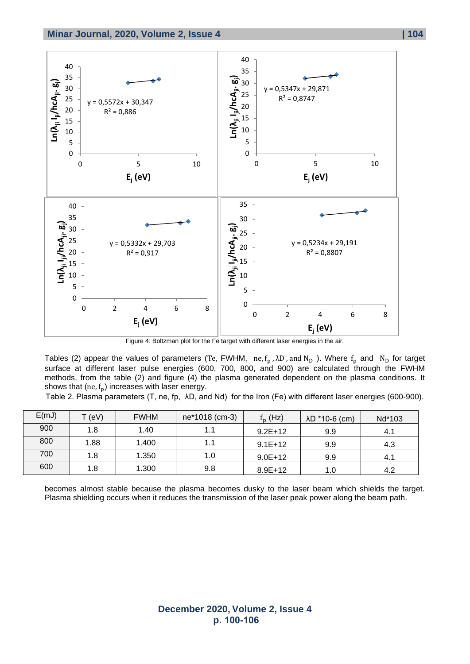

Figure 4: Boltzman plot for the Fe target with different laser energies in the air.

Tables (2) appear the values of parameters (Te, FWHM, ne,  $f_p$ ,  $\lambda D$ , and  $N_D$ ). Where  $f_p$  and  $N_D$  for target surface at different laser pulse energies (600, 700, 800, and 900) are calculated through the FWHM methods, from the table (2) and figure (4) the plasma generated dependent on the plasma conditions. It shows that  $(ne, f_p)$  increases with laser energy.

Table 2. Plasma parameters (T, ne, fp, λD, and Nd) for the Iron (Fe) with different laser energies (600-900).

| E(mJ) | $T$ (eV) | <b>FWHM</b> | ne*1018 (cm-3) | $f_{\rm p}$ (Hz) | $AD * 10-6$ (cm) | Nd*103 |
|-------|----------|-------------|----------------|------------------|------------------|--------|
| 900   | 1.8      | 1.40        | 1.1            | $9.2E+12$        | 9.9              | 4.1    |
| 800   | 1.88     | 1.400       | 1.1            | $9.1E+12$        | 9.9              | 4.3    |
| 700   | 1.8      | 1.350       | 1.0            | $9.0E + 12$      | 9.9              | 4.1    |
| 600   | 1.8      | 1.300       | 9.8            | $8.9E+12$        | 1.0              | 4.2    |

becomes almost stable because the plasma becomes dusky to the laser beam which shields the target. Plasma shielding occurs when it reduces the transmission of the laser peak power along the beam path.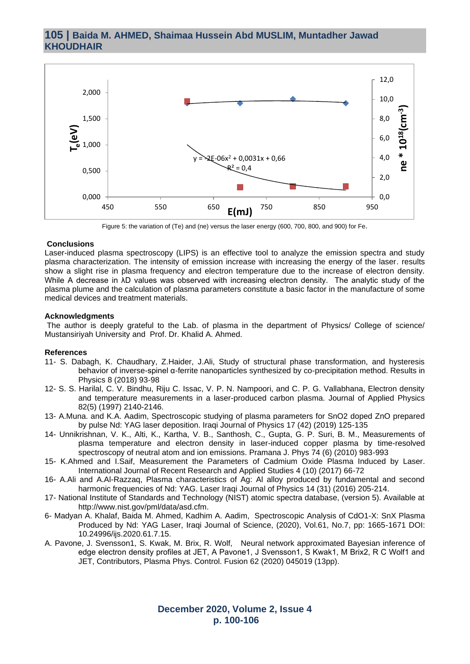### **105 | Baida M. AHMED, Shaimaa Hussein Abd MUSLIM, Muntadher Jawad KHOUDHAIR**



Figure 5: the variation of (Te) and (ne) versus the laser energy (600, 700, 800, and 900) for Fe.

#### **Conclusions**

Laser-induced plasma spectroscopy (LIPS) is an effective tool to analyze the emission spectra and study plasma characterization. The intensity of emission increase with increasing the energy of the laser. results show a slight rise in plasma frequency and electron temperature due to the increase of electron density. While A decrease in λD values was observed with increasing electron density. The analytic study of the plasma plume and the calculation of plasma parameters constitute a basic factor in the manufacture of some medical devices and treatment materials.

#### **Acknowledgments**

The author is deeply grateful to the Lab. of plasma in the department of Physics/ College of science/ Mustansiriyah University and Prof. Dr. Khalid A. Ahmed.

#### **References**

- 11- S. Dabagh, K. Chaudhary, Z.Haider, J.Ali, Study of structural phase transformation, and hysteresis behavior of inverse-spinel α-ferrite nanoparticles synthesized by co-precipitation method. Results in Physics 8 (2018) 93-98
- 12- S. S. Harilal, C. V. Bindhu, Riju C. Issac, V. P. N. Nampoori, and C. P. G. Vallabhana, Electron density and temperature measurements in a laser-produced carbon plasma. Journal of Applied Physics 82(5) (1997) 2140-2146.
- 13- A.Muna. and K.A. Aadim, Spectroscopic studying of plasma parameters for SnO2 doped ZnO prepared by pulse Nd: YAG laser deposition. Iraqi Journal of Physics 17 (42) (2019) 125-135
- 14- Unnikrishnan, V. K., Alti, K., Kartha, V. B., Santhosh, C., Gupta, G. P. Suri, B. M., Measurements of plasma temperature and electron density in laser-induced copper plasma by time-resolved spectroscopy of neutral atom and ion emissions. Pramana J. Phys 74 (6) (2010) 983-993
- 15- K.Ahmed and I.Saif, Measurement the Parameters of Cadmium Oxide Plasma Induced by Laser. International Journal of Recent Research and Applied Studies 4 (10) (2017) 66-72
- 16- A.Ali and A.Al-Razzaq, Plasma characteristics of Ag: Al alloy produced by fundamental and second harmonic frequencies of Nd: YAG. Laser Iraqi Journal of Physics 14 (31) (2016) 205-214.
- 17- National Institute of Standards and Technology (NIST) atomic spectra database, (version 5). Available at http://www.nist.gov/pml/data/asd.cfm.
- 6- Madyan A. Khalaf, Baida M. Ahmed, Kadhim A. Aadim, Spectroscopic Analysis of CdO1-X: SnX Plasma Produced by Nd: YAG Laser, Iraqi Journal of Science, (2020), Vol.61, No.7, pp: 1665-1671 DOI: 10.24996/ijs.2020.61.7.15.
- A. Pavone, J. Svensson1, S. Kwak, M. Brix, R. Wolf, Neural network approximated Bayesian inference of edge electron density profiles at JET, A Pavone1, J Svensson1, S Kwak1, M Brix2, R C Wolf1 and JET, Contributors, Plasma Phys. Control. Fusion 62 (2020) 045019 (13pp).

**December 2020, Volume 2, Issue 4 p. 100-106**